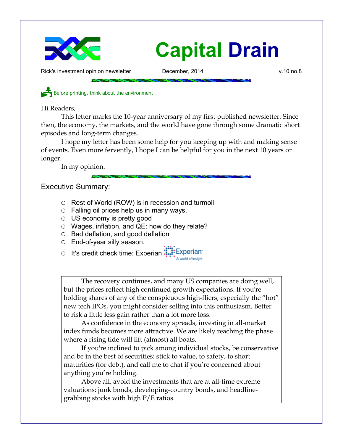

Rick's investment opinion newsletter **December, 2014** v.10 no.8

Before printing, think about the environment

Hi Readers,

This letter marks the 10-year anniversary of my first published newsletter. Since then, the economy, the markets, and the world have gone through some dramatic short episodes and long-term changes.

I hope my letter has been some help for you keeping up with and making sense of events. Even more fervently, I hope I can be helpful for you in the next 10 years or longer.

In my opinion:

Executive Summary:

- Rest of World (ROW) is in recession and turmoil
- $\circ$  Falling oil prices help us in many ways.
- US economy is pretty good
- Wages, inflation, and QE: how do they relate?
- Bad deflation, and good deflation
- End-of-year silly season.

○ It's credit check time: Experian: Experian

The recovery continues, and many US companies are doing well, but the prices reflect high continued growth expectations. If you're holding shares of any of the conspicuous high-fliers, especially the "hot" new tech IPOs, you might consider selling into this enthusiasm. Better to risk a little less gain rather than a lot more loss.

As confidence in the economy spreads, investing in all-market index funds becomes more attractive. We are likely reaching the phase where a rising tide will lift (almost) all boats.

If you're inclined to pick among individual stocks, be conservative and be in the best of securities: stick to value, to safety, to short maturities (for debt), and call me to chat if you're concerned about anything you're holding.

Above all, avoid the investments that are at all-time extreme valuations: junk bonds, developing-country bonds, and headlinegrabbing stocks with high P/E ratios.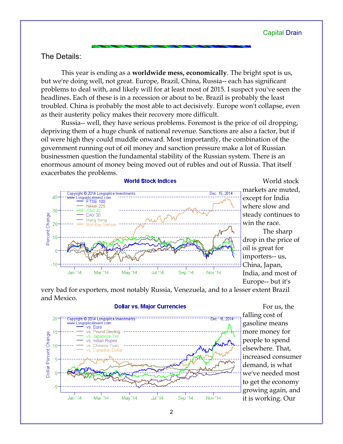# The Details:

This year is ending as a **worldwide mess, economically**. The bright spot is us, but we're doing well, not great. Europe, Brazil, China, Russia-- each has significant problems to deal with, and likely will for at least most of 2015. I suspect you've seen the headlines. Each of these is in a recession or about to be. Brazil is probably the least troubled. China is probably the most able to act decisively. Europe won't collapse, even as their austerity policy makes their recovery more difficult.

Russia-- well, they have serious problems. Foremost is the price of oil dropping, depriving them of a huge chunk of national revenue. Sanctions are also a factor, but if oil were high they could muddle onward. Most importantly, the combination of the government running out of oil money and sanction pressure make a lot of Russian businessmen question the fundamental stability of the Russian system. There is an enormous amount of money being moved out of rubles and out of Russia. That itself exacerbates the problems.



World stock markets are muted, except for India where slow and steady continues to win the race. The sharp drop in the price of oil is great for importers-- us, China, Japan, India, and most of

very bad for exporters, most notably Russia, Venezuela, and to a lesser extent Brazil and Mexico.



For us, the falling cost of gasoline means more money for people to spend elsewhere. That, increased consumer demand, is what we've needed most to get the economy growing again, and it is working. Our

## **Dollar vs. Major Currencies**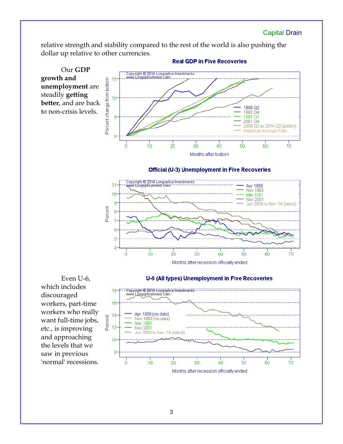relative strength and stability compared to the rest of the world is also pushing the dollar up relative to other currencies.

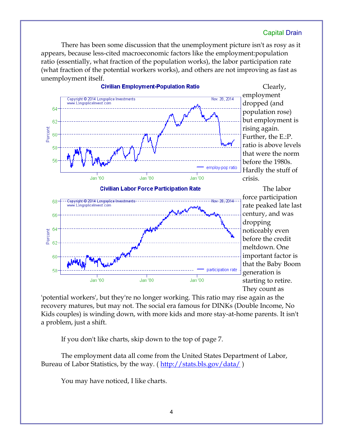There has been some discussion that the unemployment picture isn't as rosy as it appears, because less-cited macroeconomic factors like the employment:population ratio (essentially, what fraction of the population works), the labor participation rate (what fraction of the potential workers works), and others are not improving as fast as unemployment itself.



Clearly, employment dropped (and population rose) but employment is rising again. Further, the E.:P. ratio is above levels that were the norm before the 1980s. Hardly the stuff of crisis.

The labor force participation rate peaked late last century, and was dropping noticeably even before the credit meltdown. One important factor is that the Baby Boom generation is starting to retire. They count as

'potential workers', but they're no longer working. This ratio may rise again as the recovery matures, but may not. The social era famous for DINKs (Double Income, No Kids couples) is winding down, with more kids and more stay-at-home parents. It isn't a problem, just a shift.

If you don't like charts, skip down to the top of page 7.

The employment data all come from the United States Department of Labor, Bureau of Labor Statistics, by the way. (http://stats.bls.gov/data/)

You may have noticed, I like charts.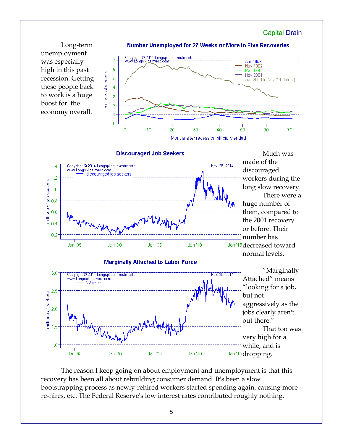

The reason I keep going on about employment and unemployment is that this recovery has been all about rebuilding consumer demand. It's been a slow bootstrapping process as newly-rehired workers started spending again, causing more re-hires, etc. The Federal Reserve's low interest rates contributed roughly nothing.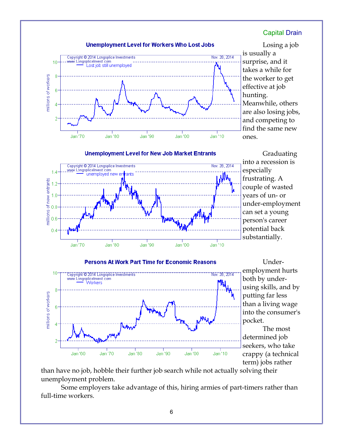

than have no job, hobble their further job search while not actually solving their unemployment problem.

Some employers take advantage of this, hiring armies of part-timers rather than full-time workers.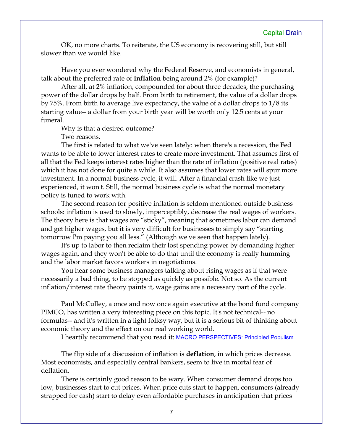OK, no more charts. To reiterate, the US economy is recovering still, but still slower than we would like.

Have you ever wondered why the Federal Reserve, and economists in general, talk about the preferred rate of **inflation** being around 2% (for example)?

After all, at 2% inflation, compounded for about three decades, the purchasing power of the dollar drops by half. From birth to retirement, the value of a dollar drops by 75%. From birth to average live expectancy, the value of a dollar drops to 1/8 its starting value-- a dollar from your birth year will be worth only 12.5 cents at your funeral.

Why is that a desired outcome?

Two reasons.

The first is related to what we've seen lately: when there's a recession, the Fed wants to be able to lower interest rates to create more investment. That assumes first of all that the Fed keeps interest rates higher than the rate of inflation (positive real rates) which it has not done for quite a while. It also assumes that lower rates will spur more investment. In a normal business cycle, it will. After a financial crash like we just experienced, it won't. Still, the normal business cycle is what the normal monetary policy is tuned to work with.

The second reason for positive inflation is seldom mentioned outside business schools: inflation is used to slowly, imperceptibly, decrease the real wages of workers. The theory here is that wages are "sticky", meaning that sometimes labor can demand and get higher wages, but it is very difficult for businesses to simply say "starting tomorrow I'm paying you all less." (Although we've seen that happen lately).

It's up to labor to then reclaim their lost spending power by demanding higher wages again, and they won't be able to do that until the economy is really humming and the labor market favors workers in negotiations.

You hear some business managers talking about rising wages as if that were necessarily a bad thing, to be stopped as quickly as possible. Not so. As the current inflation/interest rate theory paints it, wage gains are a necessary part of the cycle.

Paul McCulley, a once and now once again executive at the bond fund company PIMCO, has written a very interesting piece on this topic. It's not technical-- no formulas-- and it's written in a light folksy way, but it is a serious bit of thinking about economic theory and the effect on our real working world.

I heartily recommend that you read it: [MACRO PERSPECTIVES: Principled Populism](http://www.pimco.com/EN/Insights/Pages/Principled-Populism.aspx)

The flip side of a discussion of inflation is **deflation**, in which prices decrease. Most economists, and especially central bankers, seem to live in mortal fear of deflation.

There is certainly good reason to be wary. When consumer demand drops too low, businesses start to cut prices. When price cuts start to happen, consumers (already strapped for cash) start to delay even affordable purchases in anticipation that prices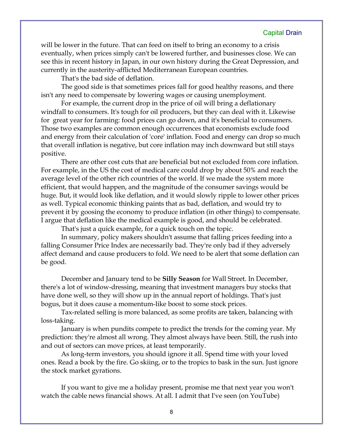will be lower in the future. That can feed on itself to bring an economy to a crisis eventually, when prices simply can't be lowered further, and businesses close. We can see this in recent history in Japan, in our own history during the Great Depression, and currently in the austerity-afflicted Mediterranean European countries.

That's the bad side of deflation.

The good side is that sometimes prices fall for good healthy reasons, and there isn't any need to compensate by lowering wages or causing unemployment.

For example, the current drop in the price of oil will bring a deflationary windfall to consumers. It's tough for oil producers, but they can deal with it. Likewise for great year for farming: food prices can go down, and it's beneficial to consumers. Those two examples are common enough occurrences that economists exclude food and energy from their calculation of 'core' inflation. Food and energy can drop so much that overall inflation is negative, but core inflation may inch downward but still stays positive.

There are other cost cuts that are beneficial but not excluded from core inflation. For example, in the US the cost of medical care could drop by about 50% and reach the average level of the other rich countries of the world. If we made the system more efficient, that would happen, and the magnitude of the consumer savings would be huge. But, it would look like deflation, and it would slowly ripple to lower other prices as well. Typical economic thinking paints that as bad, deflation, and would try to prevent it by goosing the economy to produce inflation (in other things) to compensate. I argue that deflation like the medical example is good, and should be celebrated.

That's just a quick example, for a quick touch on the topic.

In summary, policy makers shouldn't assume that falling prices feeding into a falling Consumer Price Index are necessarily bad. They're only bad if they adversely affect demand and cause producers to fold. We need to be alert that some deflation can be good.

December and January tend to be **Silly Season** for Wall Street. In December, there's a lot of window-dressing, meaning that investment managers buy stocks that have done well, so they will show up in the annual report of holdings. That's just bogus, but it does cause a momentum-like boost to some stock prices.

Tax-related selling is more balanced, as some profits are taken, balancing with loss-taking.

January is when pundits compete to predict the trends for the coming year. My prediction: they're almost all wrong. They almost always have been. Still, the rush into and out of sectors can move prices, at least temporarily.

As long-term investors, you should ignore it all. Spend time with your loved ones. Read a book by the fire. Go skiing, or to the tropics to bask in the sun. Just ignore the stock market gyrations.

If you want to give me a holiday present, promise me that next year you won't watch the cable news financial shows. At all. I admit that I've seen (on YouTube)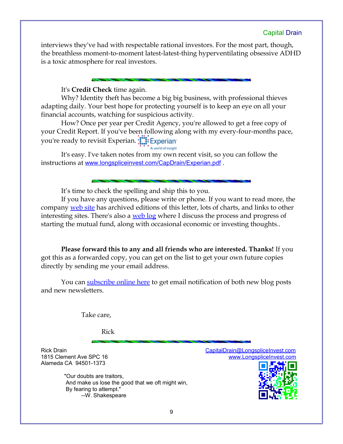interviews they've had with respectable rational investors. For the most part, though, the breathless moment-to-moment latest-latest-thing hyperventilating obsessive ADHD is a toxic atmosphere for real investors.

It's **Credit Check** time again.

Why? Identity theft has become a big big business, with professional thieves adapting daily. Your best hope for protecting yourself is to keep an eye on all your financial accounts, watching for suspicious activity.

How? Once per year per Credit Agency, you're allowed to get a free copy of your Credit Report. If you've been following along with my every-four-months pace, you're ready to revisit Experian.

A world of insight

It's easy. I've taken notes from my own recent visit, so you can follow the instructions at [www.longspliceinvest.com/CapDrain/Experian.pdf](http://www.longspliceinvest.com/CapDrain/Experian.pdf).

It's time to check the spelling and ship this to you.

If you have any questions, please write or phone. If you want to read more, the company [web site](http://www.LongspliceInvest.com/newsletter.shtml) has archived editions of this letter, lots of charts, and links to other interesting sites. There's also a [web log](http://www.LongspliceInvestments.com/ricksblog) where I discuss the process and progress of starting the mutual fund, along with occasional economic or investing thoughts..

**Please forward this to any and all friends who are interested. Thanks!** If you got this as a forwarded copy, you can get on the list to get your own future copies directly by sending me your email address.

You can [subscribe online here](http://www.longspliceinvest.com/ricksblog/subscribe/) to get email notification of both new blog posts and new newsletters.

Take care,

Rick

Alameda CA 94501-1373

 "Our doubts are traitors, And make us lose the good that we oft might win, By fearing to attempt." --W. Shakespeare

Rick Drain [CapitalDrain@LongspliceInvest.com](mailto:CapitalDrain@LongspliceInvest.com?subject=newsletter%20feedback) 1815 Clement Ave SPC 16 [www.LongspliceInvest.com](http://www.LongspliceInvest.com/)